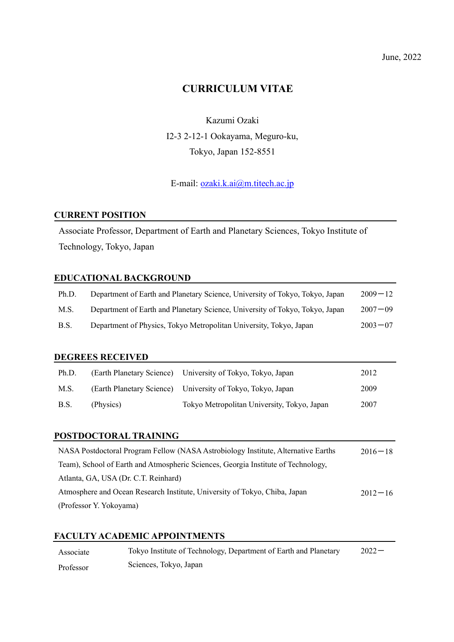# **CURRICULUM VITAE**

Kazumi Ozaki I2-3 2-12-1 Ookayama, Meguro-ku, Tokyo, Japan 152-8551

E-mail: [ozaki.k.ai@m.titech.ac.jp](mailto:ozaki.k.ai@m.titech.ac.jp)

### **CURRENT POSITION**

Associate Professor, Department of Earth and Planetary Sciences, Tokyo Institute of Technology, Tokyo, Japan

### **EDUCATIONAL BACKGROUND**

| Ph.D. | Department of Earth and Planetary Science, University of Tokyo, Tokyo, Japan | $2009 - 12$ |
|-------|------------------------------------------------------------------------------|-------------|
| M.S.  | Department of Earth and Planetary Science, University of Tokyo, Tokyo, Japan | $2007 - 09$ |
| B.S.  | Department of Physics, Tokyo Metropolitan University, Tokyo, Japan           | $2003 - 07$ |

### **DEGREES RECEIVED**

| Ph.D.       |           | (Earth Planetary Science) University of Tokyo, Tokyo, Japan | 2012 |
|-------------|-----------|-------------------------------------------------------------|------|
| M.S.        |           | (Earth Planetary Science) University of Tokyo, Tokyo, Japan | 2009 |
| <b>B.S.</b> | (Physics) | Tokyo Metropolitan University, Tokyo, Japan                 | 2007 |

# **POSTDOCTORAL TRAINING**

| NASA Postdoctoral Program Fellow (NASA Astrobiology Institute, Alternative Earths | $2016 - 18$ |
|-----------------------------------------------------------------------------------|-------------|
| Team), School of Earth and Atmospheric Sciences, Georgia Institute of Technology, |             |
| Atlanta, GA, USA (Dr. C.T. Reinhard)                                              |             |
| Atmosphere and Ocean Research Institute, University of Tokyo, Chiba, Japan        | $2012 - 16$ |
| (Professor Y. Yokoyama)                                                           |             |

### **FACULTY ACADEMIC APPOINTMENTS**

| Associate | Tokyo Institute of Technology, Department of Earth and Planetary | $2022 -$ |
|-----------|------------------------------------------------------------------|----------|
| Professor | Sciences, Tokyo, Japan                                           |          |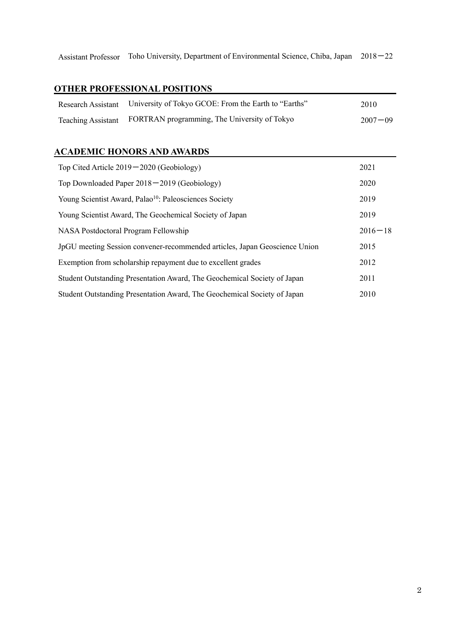Assistant Professor Toho University, Department of Environmental Science, Chiba, Japan 2018-22

### **OTHER PROFESSIONAL POSITIONS**

| Research Assistant University of Tokyo GCOE: From the Earth to "Earths" | 2010        |
|-------------------------------------------------------------------------|-------------|
| Teaching Assistant FORTRAN programming, The University of Tokyo         | $2007 - 09$ |

### **ACADEMIC HONORS AND AWARDS**

| Top Cited Article $2019 - 2020$ (Geobiology)                               | 2021        |
|----------------------------------------------------------------------------|-------------|
| Top Downloaded Paper $2018 - 2019$ (Geobiology)                            | 2020        |
| Young Scientist Award, Palao <sup>10</sup> : Paleosciences Society         | 2019        |
| Young Scientist Award, The Geochemical Society of Japan                    | 2019        |
| NASA Postdoctoral Program Fellowship                                       | $2016 - 18$ |
| JpGU meeting Session convener-recommended articles, Japan Geoscience Union | 2015        |
| Exemption from scholarship repayment due to excellent grades               | 2012        |
| Student Outstanding Presentation Award, The Geochemical Society of Japan   | 2011        |
| Student Outstanding Presentation Award, The Geochemical Society of Japan   | 2010        |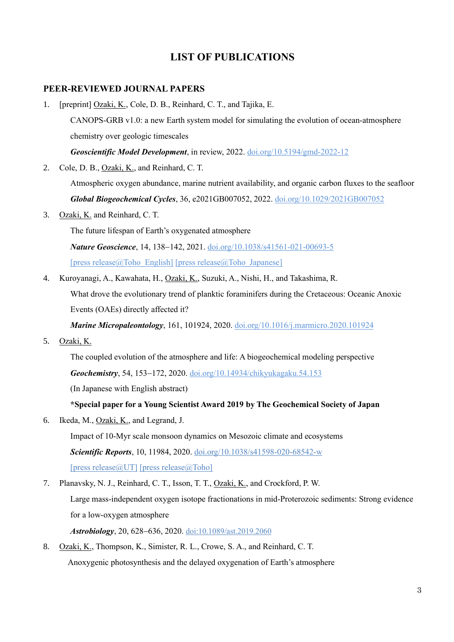# **LIST OF PUBLICATIONS**

#### **PEER-REVIEWED JOURNAL PAPERS**

- 1. [preprint] Ozaki, K., Cole, D. B., Reinhard, C. T., and Tajika, E. CANOPS-GRB v1.0: a new Earth system model for simulating the evolution of ocean-atmosphere chemistry over geologic timescales *Geoscientific Model Development*, in review, 2022. [doi.org/10.5194/gmd-2022-12](file:///G:/DataFolda/CV/doi.org/10.5194/gmd-2022-12)
- 2. Cole, D. B., Ozaki, K., and Reinhard, C. T.

Atmospheric oxygen abundance, marine nutrient availability, and organic carbon fluxes to the seafloor *Global Biogeochemical Cycles*, 36, e2021GB007052, 2022. <doi.org/10.1029/2021GB007052>

3. Ozaki, K. and Reinhard, C. T.

The future lifespan of Earth's oxygenated atmosphere

*Nature Geoscience*, 14, 138−142, 2021. [doi.org/10.1038/s41561-021-00693-5](https://www.nature.com/articles/s41561-021-00693-5)

[\[press release@Toho\\_English\]](https://www.eurekalert.org/pub_releases/2021-03/tu-hml030221.php) [\[press release@Toho\\_Japanese\]](https://www.toho-u.ac.jp/press/2020_index/20210302-1122.html)

- 4. Kuroyanagi, A., Kawahata, H., Ozaki, K., Suzuki, A., Nishi, H., and Takashima, R. What drove the evolutionary trend of planktic foraminifers during the Cretaceous: Oceanic Anoxic Events (OAEs) directly affected it?
	- *Marine Micropaleontology*, 161, 101924, 2020. [doi.org/10.1016/j.marmicro.2020.101924](file:///E:/DataFolda/CV/doi.org/10.1016/j.marmicro.2020.101924)
- 5. Ozaki, K.

The coupled evolution of the atmosphere and life: A biogeochemical modeling perspective *Geochemistry*, 54, 153−172, 2020[. doi.org/10.14934/chikyukagaku.54.153](https://doi.org/10.14934/chikyukagaku.54.153)

(In Japanese with English abstract)

#### **\*Special paper for a Young Scientist Award 2019 by The Geochemical Society of Japan**

- 6. Ikeda, M., Ozaki, K., and Legrand, J. Impact of 10-Myr scale monsoon dynamics on Mesozoic climate and ecosystems *Scientific Reports*, 10, 11984, 2020[. doi.org/10.1038/s41598-020-68542-w](file:///G:/DataFolda/CV/doi.org/10.1038/s41598-020-68542-w) [\[press release@UT\]](https://www.s.u-tokyo.ac.jp/ja/press/2020/6954/) [\[press release@Toho\]](https://www.toho-u.ac.jp/press/2020_index/20200727-1086.html)
- 7. Planavsky, N. J., Reinhard, C. T., Isson, T. T., Ozaki, K., and Crockford, P. W. Large mass-independent oxygen isotope fractionations in mid-Proterozoic sediments: Strong evidence for a low-oxygen atmosphere *Astrobiology*, 20, 628−636, 2020. [doi:10.1089/ast.2019.2060](https://www.liebertpub.com/doi/10.1089/ast.2019.2060)
- 8. Ozaki, K., Thompson, K., Simister, R. L., Crowe, S. A., and Reinhard, C. T. Anoxygenic photosynthesis and the delayed oxygenation of Earth's atmosphere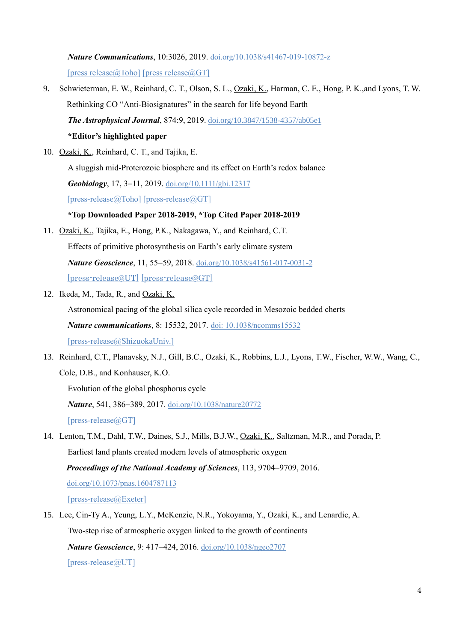*Nature Communications*, 10:3026, 2019. [doi.org/10.1038/s41467-019-10872-z](https://doi.org/10.1038/s41467-019-10872-z) [\[press release@Toho\]](https://www.toho-u.ac.jp/press/2019_index/20190709-988.html) [\[press release@GT\]](https://www.eas.gatech.edu/news/what-delayed-earths-oxygenation)

- 9. Schwieterman, E. W., Reinhard, C. T., Olson, S. L., Ozaki, K., Harman, C. E., Hong, P. K.,and Lyons, T. W. Rethinking CO "Anti-Biosignatures" in the search for life beyond Earth *The Astrophysical Journal*, 874:9, 2019. [doi.org/10.3847/1538-4357/ab05e1](https://doi.org/10.3847/1538-4357/ab05e1) **\*Editor's highlighted paper**
- 10. Ozaki, K., Reinhard, C. T., and Tajika, E.

A sluggish mid-Proterozoic biosphere and its effect on Earth's redox balance

*Geobiology*, 17, 3−11, 2019. [doi.org/10.1111/gbi.12317](https://doi.org/10.1111/gbi.12317)

[\[press-release@Toho\]](https://www.toho-u.ac.jp/press/2018_index/20181005-919.html) [\[press-release@GT\]](http://www.eas.gatech.edu/news/early-earth-struggled-make-oxygen-complex-life)

### **\*Top Downloaded Paper 2018-2019, \*Top Cited Paper 2018-2019**

- 11. Ozaki, K., Tajika, E., Hong, P.K., Nakagawa, Y., and Reinhard, C.T. Effects of primitive photosynthesis on Earth's early climate system *Nature Geoscience*, 11, 55−59, 2018. [doi.org/10.1038/s41561-017-0031-2](https://doi.org/10.1038/s41561-017-0031-2) [\[press-release@UT\]](https://apps.adm.s.u-tokyo.ac.jp/WEB_info/p/p/5678/DzkJqqQe/) [\[press-release@GT\]](https://www.news.gatech.edu/2017/12/11/cold-suns-warm-exoplanets-and-methane-blankets)
- 12. Ikeda, M., Tada, R., and Ozaki, K.

Astronomical pacing of the global silica cycle recorded in Mesozoic bedded cherts *Nature communications*, 8: 15532, 2017. [doi: 10.1038/ncomms15532](https://www.nature.com/articles/ncomms15532) [\[press-release@ShizuokaUniv.\]](http://www.shizuoka.ac.jp/pressrelease/pdf/2017/PressRelease_18.pdf)

13. Reinhard, C.T., Planavsky, N.J., Gill, B.C., Ozaki, K., Robbins, L.J., Lyons, T.W., Fischer, W.W., Wang, C., Cole, D.B., and Konhauser, K.O.

Evolution of the global phosphorus cycle

*Nature*, 541, 386−389, 2017. [doi.org/10.1038/nature20772](https://doi.org/10.1038/nature20772)

[\[press-release@GT\]](https://www.news.gatech.edu/2016/12/21/fertilizer-dearth-foiled-animal-evolution-eons)

14. Lenton, T.M., Dahl, T.W., Daines, S.J., Mills, B.J.W., Ozaki, K., Saltzman, M.R., and Porada, P. Earliest land plants created modern levels of atmospheric oxygen *Proceedings of the National Academy of Sciences*, 113, 9704−9709, 2016. [doi.org/10.1073/pnas.1604787113](https://doi.org/10.1073/pnas.1604787113)

[\[press-release@Exeter\]](http://www.exeter.ac.uk/news/featurednews/title_536325_en.html)

15. Lee, Cin-Ty A., Yeung, L.Y., McKenzie, N.R., Yokoyama, Y., Ozaki, K., and Lenardic, A. Two-step rise of atmospheric oxygen linked to the growth of continents *Nature Geoscience*, 9: 417−424, 2016. [doi.org/10.1038/ngeo2707](https://doi.org/10.1038/ngeo2707) [\[press-release@UT\]](https://www.aori.u-tokyo.ac.jp/research/news/2016/20160517.html)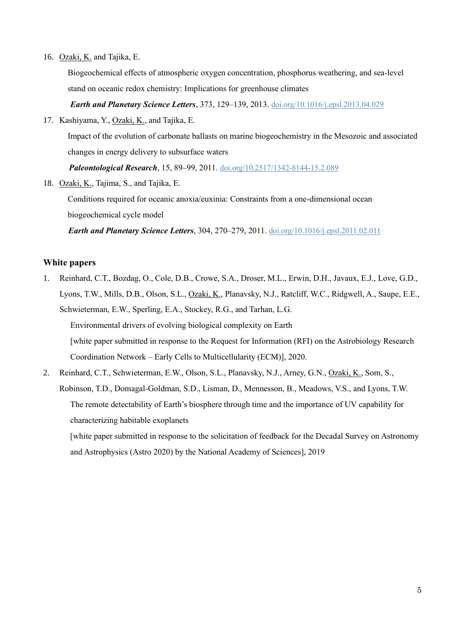16. Ozaki, K. and Tajika, E.

Biogeochemical effects of atmospheric oxygen concentration, phosphorus weathering, and sea-level stand on oceanic redox chemistry: Implications for greenhouse climates

*Earth and Planetary Science Letters*, 373, 129–139, 2013. [doi.org/10.1016/j.epsl.2013.04.029](https://doi.org/10.1016/j.epsl.2013.04.029)

17. Kashiyama, Y., Ozaki, K., and Tajika, E.

Impact of the evolution of carbonate ballasts on marine biogeochemistry in the Mesozoic and associated changes in energy delivery to subsurface waters

*Paleontological Research*, 15, 89–99, 2011. [doi.org/10.2517/1342-8144-15.2.089](https://doi.org/10.2517/1342-8144-15.2.089)

18. Ozaki, K., Tajima, S., and Tajika, E.

Conditions required for oceanic anoxia/euxinia: Constraints from a one-dimensional ocean biogeochemical cycle model

*Earth and Planetary Science Letters*, 304, 270–279, 2011. [doi.org/10.1016/j.epsl.2011.02.011](https://doi.org/10.1016/j.epsl.2011.02.011)

#### **White papers**

- 1. Reinhard, C.T., Bozdag, O., Cole, D.B., Crowe, S.A., Droser, M.L., Erwin, D.H., Javaux, E.J., Love, G.D., Lyons, T.W., Mills, D.B., Olson, S.L., Ozaki, K., Planavsky, N.J., Ratcliff, W.C., Ridgwell, A., Saupe, E.E., Schwieterman, E.W., Sperling, E.A., Stockey, R.G., and Tarhan, L.G. Environmental drivers of evolving biological complexity on Earth [white paper submitted in response to the Request for Information (RFI) on the Astrobiology Research Coordination Network – Early Cells to Multicellularity (ECM)], 2020.
- 2. Reinhard, C.T., Schwieterman, E.W., Olson, S.L., Planavsky, N.J., Arney, G.N., Ozaki, K., Som, S., Robinson, T.D., Domagal-Goldman, S.D., Lisman, D., Mennesson, B., Meadows, V.S., and Lyons, T.W. The remote detectability of Earth's biosphere through time and the importance of UV capability for characterizing habitable exoplanets

[white paper submitted in response to the solicitation of feedback for the Decadal Survey on Astronomy and Astrophysics (Astro 2020) by the National Academy of Sciences], 2019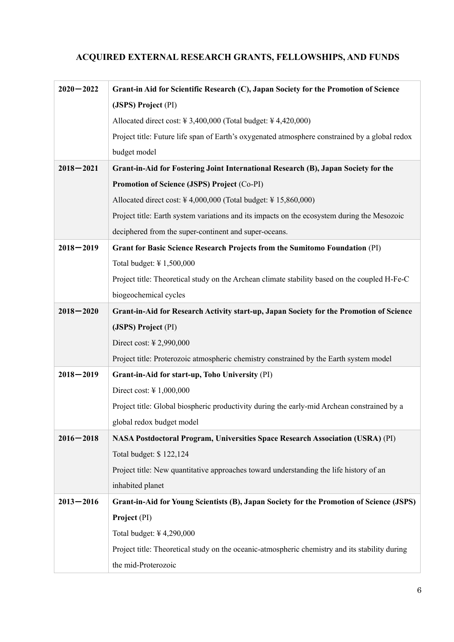# **ACQUIRED EXTERNAL RESEARCH GRANTS, FELLOWSHIPS, AND FUNDS**

| $2020 - 2022$ | Grant-in Aid for Scientific Research (C), Japan Society for the Promotion of Science           |
|---------------|------------------------------------------------------------------------------------------------|
|               | (JSPS) Project (PI)                                                                            |
|               | Allocated direct cost: $\frac{1}{2}$ 3,400,000 (Total budget: $\frac{1}{2}$ 4,420,000)         |
|               | Project title: Future life span of Earth's oxygenated atmosphere constrained by a global redox |
|               | budget model                                                                                   |
| $2018 - 2021$ | Grant-in-Aid for Fostering Joint International Research (B), Japan Society for the             |
|               | Promotion of Science (JSPS) Project (Co-PI)                                                    |
|               | Allocated direct cost: $\frac{1}{4}$ ,000,000 (Total budget: $\frac{1}{4}$ 15,860,000)         |
|               | Project title: Earth system variations and its impacts on the ecosystem during the Mesozoic    |
|               | deciphered from the super-continent and super-oceans.                                          |
| $2018 - 2019$ | Grant for Basic Science Research Projects from the Sumitomo Foundation (PI)                    |
|               | Total budget: ¥ 1,500,000                                                                      |
|               | Project title: Theoretical study on the Archean climate stability based on the coupled H-Fe-C  |
|               | biogeochemical cycles                                                                          |
| $2018 - 2020$ | Grant-in-Aid for Research Activity start-up, Japan Society for the Promotion of Science        |
|               | (JSPS) Project (PI)                                                                            |
|               | Direct cost: ¥ 2,990,000                                                                       |
|               | Project title: Proterozoic atmospheric chemistry constrained by the Earth system model         |
| $2018 - 2019$ | Grant-in-Aid for start-up, Toho University (PI)                                                |
|               | Direct cost: $\frac{1}{2}$ 1,000,000                                                           |
|               | Project title: Global biospheric productivity during the early-mid Archean constrained by a    |
|               | global redox budget model                                                                      |
| $2016 - 2018$ | NASA Postdoctoral Program, Universities Space Research Association (USRA) (PI)                 |
|               | Total budget: \$122,124                                                                        |
|               | Project title: New quantitative approaches toward understanding the life history of an         |
|               | inhabited planet                                                                               |
| $2013 - 2016$ | Grant-in-Aid for Young Scientists (B), Japan Society for the Promotion of Science (JSPS)       |
|               | Project (PI)                                                                                   |
|               | Total budget: ¥4,290,000                                                                       |
|               | Project title: Theoretical study on the oceanic-atmospheric chemistry and its stability during |
|               | the mid-Proterozoic                                                                            |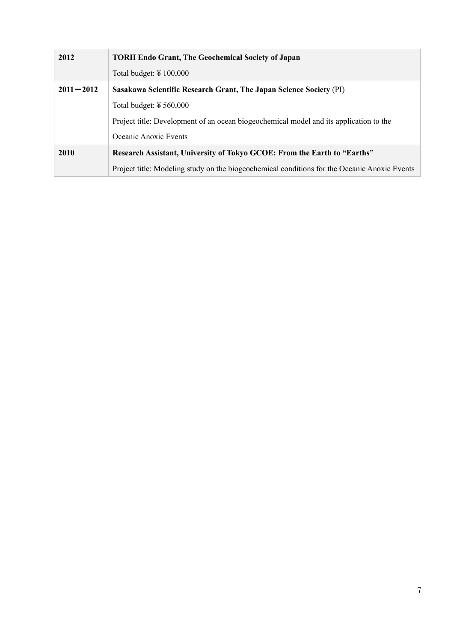| 2012          | <b>TORII Endo Grant, The Geochemical Society of Japan</b>                                    |
|---------------|----------------------------------------------------------------------------------------------|
|               | Total budget: $\frac{1}{2}$ 100,000                                                          |
| $2011 - 2012$ | Sasakawa Scientific Research Grant, The Japan Science Society (PI)                           |
|               | Total budget: $\frac{1}{2}$ 560,000                                                          |
|               | Project title: Development of an ocean biogeochemical model and its application to the       |
|               | Oceanic Anoxic Events                                                                        |
| 2010          | Research Assistant, University of Tokyo GCOE: From the Earth to "Earths"                     |
|               | Project title: Modeling study on the biogeochemical conditions for the Oceanic Anoxic Events |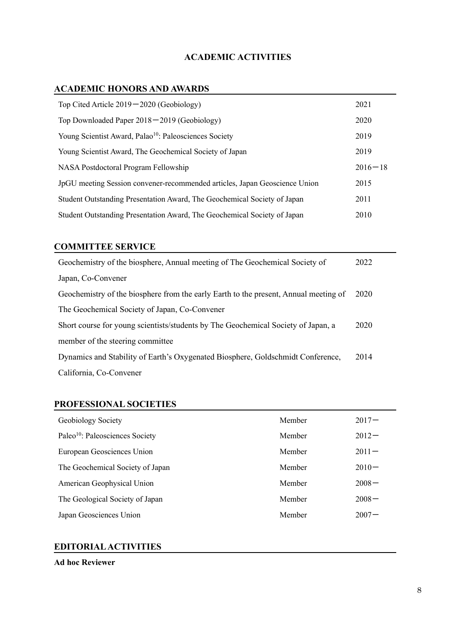# **ACADEMIC ACTIVITIES**

### **ACADEMIC HONORS AND AWARDS**

| Top Cited Article $2019 - 2020$ (Geobiology)                               | 2021        |
|----------------------------------------------------------------------------|-------------|
| Top Downloaded Paper $2018 - 2019$ (Geobiology)                            | 2020        |
| Young Scientist Award, Palao <sup>10</sup> : Paleosciences Society         | 2019        |
| Young Scientist Award, The Geochemical Society of Japan                    | 2019        |
| NASA Postdoctoral Program Fellowship                                       | $2016 - 18$ |
| JpGU meeting Session convener-recommended articles, Japan Geoscience Union | 2015        |
| Student Outstanding Presentation Award, The Geochemical Society of Japan   | 2011        |
| Student Outstanding Presentation Award, The Geochemical Society of Japan   | 2010        |

### **COMMITTEE SERVICE**

| Geochemistry of the biosphere, Annual meeting of The Geochemical Society of          | 2022 |
|--------------------------------------------------------------------------------------|------|
| Japan, Co-Convener                                                                   |      |
| Geochemistry of the biosphere from the early Earth to the present, Annual meeting of | 2020 |
| The Geochemical Society of Japan, Co-Convener                                        |      |
| Short course for young scientists/students by The Geochemical Society of Japan, a    | 2020 |
| member of the steering committee.                                                    |      |
| Dynamics and Stability of Earth's Oxygenated Biosphere, Goldschmidt Conference,      | 2014 |
| California, Co-Convener                                                              |      |

### **PROFESSIONAL SOCIETIES**

| Geobiology Society                          | Member | $2017 -$ |
|---------------------------------------------|--------|----------|
| Paleo <sup>10</sup> : Paleosciences Society | Member | $2012 -$ |
| European Geosciences Union                  | Member | $2011 -$ |
| The Geochemical Society of Japan            | Member | $2010 -$ |
| American Geophysical Union                  | Member | $2008 -$ |
| The Geological Society of Japan             | Member | $2008 -$ |
| Japan Geosciences Union                     | Member | $2007 -$ |

### **EDITORIAL ACTIVITIES**

### **Ad hoc Reviewer**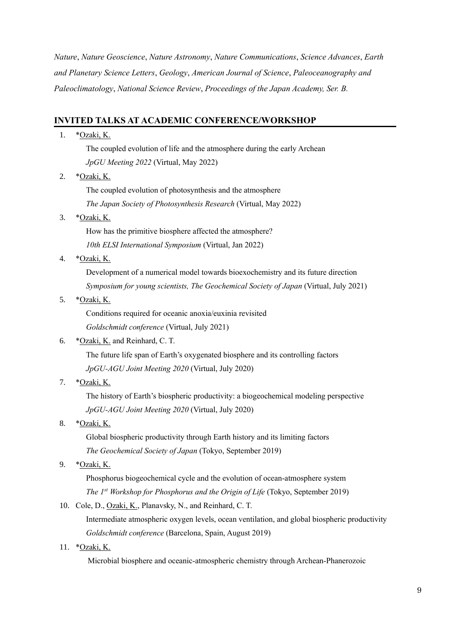*Nature*, *Nature Geoscience*, *Nature Astronomy*, *Nature Communications*, *Science Advances*, *Earth and Planetary Science Letters*, *Geology*, *American Journal of Science*, *Paleoceanography and Paleoclimatology*, *National Science Review*, *Proceedings of the Japan Academy, Ser. B.*

### **INVITED TALKS AT ACADEMIC CONFERENCE/WORKSHOP**

#### 1. \*Ozaki, K.

The coupled evolution of life and the atmosphere during the early Archean *JpGU Meeting 2022* (Virtual, May 2022)

2. \*Ozaki, K.

The coupled evolution of photosynthesis and the atmosphere *The Japan Society of Photosynthesis Research* (Virtual, May 2022)

3. \*Ozaki, K.

How has the primitive biosphere affected the atmosphere? *10th ELSI International Symposium* (Virtual, Jan 2022)

4. \*Ozaki, K.

Development of a numerical model towards bioexochemistry and its future direction *Symposium for young scientists, The Geochemical Society of Japan* (Virtual, July 2021)

5. \*Ozaki, K.

Conditions required for oceanic anoxia/euxinia revisited *Goldschmidt conference* (Virtual, July 2021)

6. \*Ozaki, K. and Reinhard, C. T.

The future life span of Earth's oxygenated biosphere and its controlling factors *JpGU-AGU Joint Meeting 2020* (Virtual, July 2020)

7. \*Ozaki, K.

The history of Earth's biospheric productivity: a biogeochemical modeling perspective *JpGU-AGU Joint Meeting 2020* (Virtual, July 2020)

8. \*Ozaki, K.

Global biospheric productivity through Earth history and its limiting factors *The Geochemical Society of Japan* (Tokyo, September 2019)

9. \*Ozaki, K.

Phosphorus biogeochemical cycle and the evolution of ocean-atmosphere system *The 1st Workshop for Phosphorus and the Origin of Life* (Tokyo, September 2019)

10. Cole, D., Ozaki, K., Planavsky, N., and Reinhard, C. T.

Intermediate atmospheric oxygen levels, ocean ventilation, and global biospheric productivity *Goldschmidt conference* (Barcelona, Spain, August 2019)

11. \*Ozaki, K.

Microbial biosphere and oceanic-atmospheric chemistry through Archean-Phanerozoic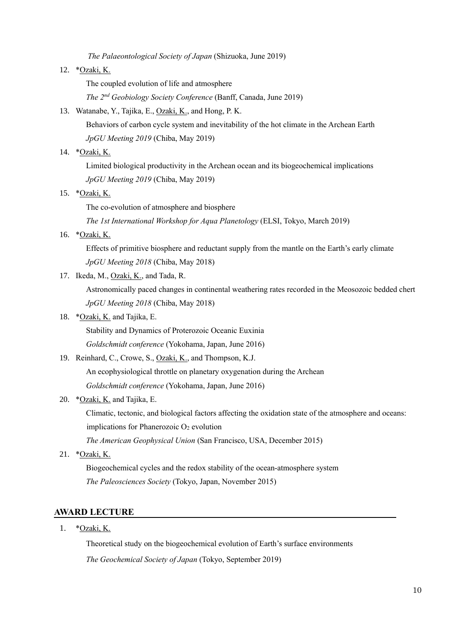*The Palaeontological Society of Japan* (Shizuoka, June 2019)

#### 12. \*Ozaki, K.

The coupled evolution of life and atmosphere

*The 2nd Geobiology Society Conference* (Banff, Canada, June 2019)

### 13. Watanabe, Y., Tajika, E., Ozaki, K., and Hong, P. K.

Behaviors of carbon cycle system and inevitability of the hot climate in the Archean Earth *JpGU Meeting 2019* (Chiba, May 2019)

#### 14. \*Ozaki, K.

Limited biological productivity in the Archean ocean and its biogeochemical implications *JpGU Meeting 2019* (Chiba, May 2019)

### 15. \*Ozaki, K.

The co-evolution of atmosphere and biosphere

*The 1st International Workshop for Aqua Planetology* (ELSI, Tokyo, March 2019)

#### 16. \*Ozaki, K.

Effects of primitive biosphere and reductant supply from the mantle on the Earth's early climate *JpGU Meeting 2018* (Chiba, May 2018)

17. Ikeda, M., Ozaki, K., and Tada, R.

Astronomically paced changes in continental weathering rates recorded in the Meosozoic bedded chert *JpGU Meeting 2018* (Chiba, May 2018)

### 18. \*Ozaki, K. and Tajika, E.

Stability and Dynamics of Proterozoic Oceanic Euxinia

*Goldschmidt conference* (Yokohama, Japan, June 2016)

### 19. Reinhard, C., Crowe, S., Ozaki, K., and Thompson, K.J.

An ecophysiological throttle on planetary oxygenation during the Archean *Goldschmidt conference* (Yokohama, Japan, June 2016)

### 20. \* Ozaki, K. and Tajika, E.

Climatic, tectonic, and biological factors affecting the oxidation state of the atmosphere and oceans: implications for Phanerozoic  $O_2$  evolution

*The American Geophysical Union* (San Francisco, USA, December 2015)

21. \*Ozaki, K.

Biogeochemical cycles and the redox stability of the ocean-atmosphere system *The Paleosciences Society* (Tokyo, Japan, November 2015)

### **AWARD LECTURE**

1. \*Ozaki, K.

Theoretical study on the biogeochemical evolution of Earth's surface environments

*The Geochemical Society of Japan* (Tokyo, September 2019)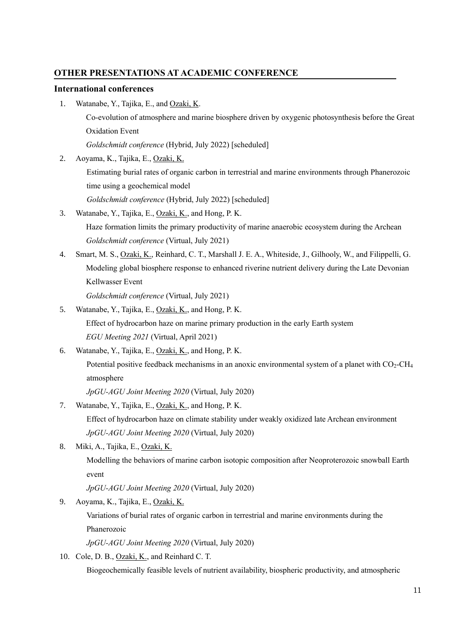### **OTHER PRESENTATIONS AT ACADEMIC CONFERENCE**

#### **International conferences**

1. Watanabe, Y., Tajika, E., and Ozaki, K.

Co-evolution of atmosphere and marine biosphere driven by oxygenic photosynthesis before the Great Oxidation Event

*Goldschmidt conference* (Hybrid, July 2022) [scheduled]

- 2. Aoyama, K., Tajika, E., Ozaki, K. Estimating burial rates of organic carbon in terrestrial and marine environments through Phanerozoic time using a geochemical model *Goldschmidt conference* (Hybrid, July 2022) [scheduled]
- 3. Watanabe, Y., Tajika, E., Ozaki, K., and Hong, P. K. Haze formation limits the primary productivity of marine anaerobic ecosystem during the Archean *Goldschmidt conference* (Virtual, July 2021)
- 4. Smart, M. S., Ozaki, K., Reinhard, C. T., Marshall J. E. A., Whiteside, J., Gilhooly, W., and Filippelli, G. Modeling global biosphere response to enhanced riverine nutrient delivery during the Late Devonian Kellwasser Event *Goldschmidt conference* (Virtual, July 2021)
- 5. Watanabe, Y., Tajika, E., Ozaki, K., and Hong, P. K. Effect of hydrocarbon haze on marine primary production in the early Earth system *EGU Meeting 2021* (Virtual, April 2021)
- 6. Watanabe, Y., Tajika, E., Ozaki, K., and Hong, P. K.

Potential positive feedback mechanisms in an anoxic environmental system of a planet with  $CO<sub>2</sub>-CH<sub>4</sub>$ atmosphere

*JpGU-AGU Joint Meeting 2020* (Virtual, July 2020)

7. Watanabe, Y., Tajika, E., Ozaki, K., and Hong, P. K.

Effect of hydrocarbon haze on climate stability under weakly oxidized late Archean environment *JpGU-AGU Joint Meeting 2020* (Virtual, July 2020)

8. Miki, A., Tajika, E., Ozaki, K.

Modelling the behaviors of marine carbon isotopic composition after Neoproterozoic snowball Earth event

*JpGU-AGU Joint Meeting 2020* (Virtual, July 2020)

9. Aoyama, K., Tajika, E., Ozaki, K.

Variations of burial rates of organic carbon in terrestrial and marine environments during the Phanerozoic

*JpGU-AGU Joint Meeting 2020* (Virtual, July 2020)

10. Cole, D. B., Ozaki, K., and Reinhard C. T.

Biogeochemically feasible levels of nutrient availability, biospheric productivity, and atmospheric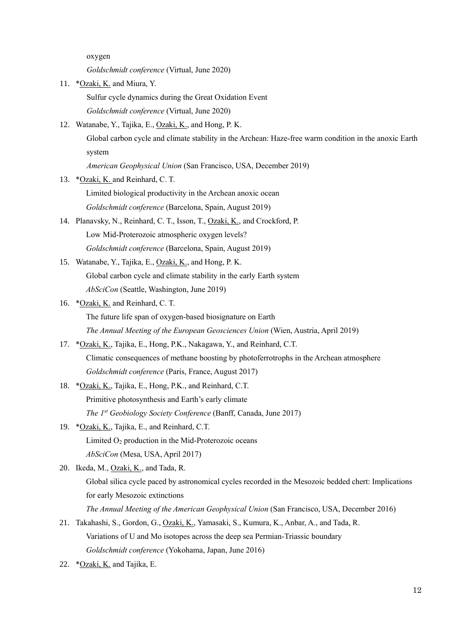oxygen

*Goldschmidt conference* (Virtual, June 2020)

11. \* Ozaki, K. and Miura, Y.

Sulfur cycle dynamics during the Great Oxidation Event *Goldschmidt conference* (Virtual, June 2020)

12. Watanabe, Y., Tajika, E., Ozaki, K., and Hong, P. K.

Global carbon cycle and climate stability in the Archean: Haze-free warm condition in the anoxic Earth system

*American Geophysical Union* (San Francisco, USA, December 2019)

13. \*Ozaki, K. and Reinhard, C. T.

Limited biological productivity in the Archean anoxic ocean

- *Goldschmidt conference* (Barcelona, Spain, August 2019)
- 14. Planavsky, N., Reinhard, C. T., Isson, T., Ozaki, K., and Crockford, P. Low Mid-Proterozoic atmospheric oxygen levels? *Goldschmidt conference* (Barcelona, Spain, August 2019)
- 15. Watanabe, Y., Tajika, E., Ozaki, K., and Hong, P. K. Global carbon cycle and climate stability in the early Earth system *AbSciCon* (Seattle, Washington, June 2019)
- 16. \*Ozaki, K. and Reinhard, C. T. The future life span of oxygen-based biosignature on Earth *The Annual Meeting of the European Geosciences Union* (Wien, Austria, April 2019)
- 17. \*Ozaki, K., Tajika, E., Hong, P.K., Nakagawa, Y., and Reinhard, C.T. Climatic consequences of methane boosting by photoferrotrophs in the Archean atmosphere *Goldschmidt conference* (Paris, France, August 2017)
- 18. \*Ozaki, K., Tajika, E., Hong, P.K., and Reinhard, C.T. Primitive photosynthesis and Earth's early climate *The 1st Geobiology Society Conference* (Banff, Canada, June 2017)
- 19. \*Ozaki, K., Tajika, E., and Reinhard, C.T. Limited  $O_2$  production in the Mid-Proterozoic oceans *AbSciCon* (Mesa, USA, April 2017)
- 20. Ikeda, M., Ozaki, K., and Tada, R. Global silica cycle paced by astronomical cycles recorded in the Mesozoic bedded chert: Implications for early Mesozoic extinctions *The Annual Meeting of the American Geophysical Union* (San Francisco, USA, December 2016)
- 21. Takahashi, S., Gordon, G., Ozaki, K., Yamasaki, S., Kumura, K., Anbar, A., and Tada, R. Variations of U and Mo isotopes across the deep sea Permian-Triassic boundary *Goldschmidt conference* (Yokohama, Japan, June 2016)
- 22. \*Ozaki, K. and Tajika, E.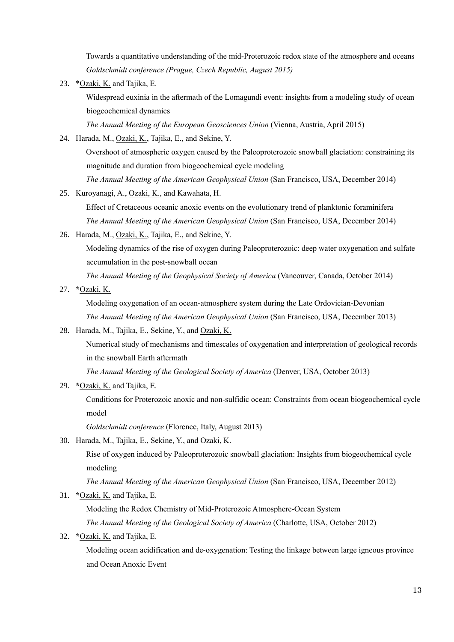Towards a quantitative understanding of the mid-Proterozoic redox state of the atmosphere and oceans *Goldschmidt conference (Prague, Czech Republic, August 2015)*

23. \*Ozaki, K. and Tajika, E.

Widespread euxinia in the aftermath of the Lomagundi event: insights from a modeling study of ocean biogeochemical dynamics

*The Annual Meeting of the European Geosciences Union* (Vienna, Austria, April 2015)

24. Harada, M., Ozaki, K., Tajika, E., and Sekine, Y.

Overshoot of atmospheric oxygen caused by the Paleoproterozoic snowball glaciation: constraining its magnitude and duration from biogeochemical cycle modeling *The Annual Meeting of the American Geophysical Union* (San Francisco, USA, December 2014)

25. Kuroyanagi, A., Ozaki, K., and Kawahata, H.

Effect of Cretaceous oceanic anoxic events on the evolutionary trend of planktonic foraminifera *The Annual Meeting of the American Geophysical Union* (San Francisco, USA, December 2014)

26. Harada, M., Ozaki, K., Tajika, E., and Sekine, Y.

Modeling dynamics of the rise of oxygen during Paleoproterozoic: deep water oxygenation and sulfate accumulation in the post-snowball ocean

*The Annual Meeting of the Geophysical Society of America* (Vancouver, Canada, October 2014)

27. **\***Ozaki, K.

Modeling oxygenation of an ocean-atmosphere system during the Late Ordovician-Devonian *The Annual Meeting of the American Geophysical Union* (San Francisco, USA, December 2013)

28. Harada, M., Tajika, E., Sekine, Y., and Ozaki, K.

Numerical study of mechanisms and timescales of oxygenation and interpretation of geological records in the snowball Earth aftermath

*The Annual Meeting of the Geological Society of America* (Denver, USA, October 2013)

29. **\***Ozaki, K. and Tajika, E.

Conditions for Proterozoic anoxic and non-sulfidic ocean: Constraints from ocean biogeochemical cycle model

*Goldschmidt conference* (Florence, Italy, August 2013)

30. Harada, M., Tajika, E., Sekine, Y., and Ozaki, K.

Rise of oxygen induced by Paleoproterozoic snowball glaciation: Insights from biogeochemical cycle modeling

*The Annual Meeting of the American Geophysical Union* (San Francisco, USA, December 2012)

31. **\***Ozaki, K. and Tajika, E.

Modeling the Redox Chemistry of Mid-Proterozoic Atmosphere-Ocean System

*The Annual Meeting of the Geological Society of America* (Charlotte, USA, October 2012)

32. **\***Ozaki, K. and Tajika, E.

Modeling ocean acidification and de-oxygenation: Testing the linkage between large igneous province and Ocean Anoxic Event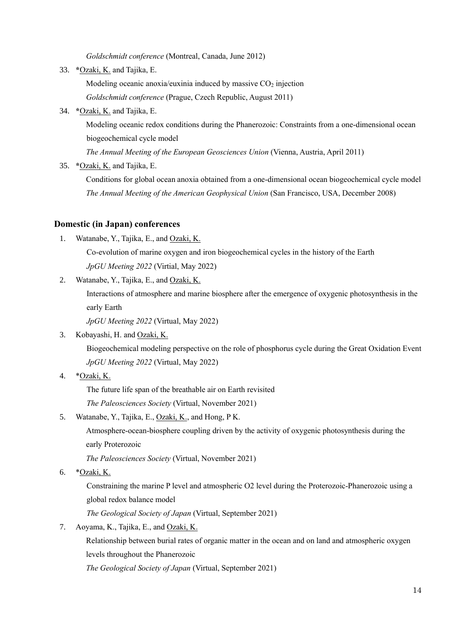*Goldschmidt conference* (Montreal, Canada, June 2012)

33. **\***Ozaki, K. and Tajika, E.

Modeling oceanic anoxia/euxinia induced by massive  $CO<sub>2</sub>$  injection

*Goldschmidt conference* (Prague, Czech Republic, August 2011)

34. **\***Ozaki, K. and Tajika, E.

Modeling oceanic redox conditions during the Phanerozoic: Constraints from a one-dimensional ocean biogeochemical cycle model

*The Annual Meeting of the European Geosciences Union* (Vienna, Austria, April 2011)

35. **\***Ozaki, K. and Tajika, E.

Conditions for global ocean anoxia obtained from a one-dimensional ocean biogeochemical cycle model *The Annual Meeting of the American Geophysical Union* (San Francisco, USA, December 2008)

#### **Domestic (in Japan) conferences**

- 1. Watanabe, Y., Tajika, E., and Ozaki, K. Co-evolution of marine oxygen and iron biogeochemical cycles in the history of the Earth *JpGU Meeting 2022* (Virtial, May 2022)
- 2. Watanabe, Y., Tajika, E., and Ozaki, K.

Interactions of atmosphere and marine biosphere after the emergence of oxygenic photosynthesis in the early Earth

*JpGU Meeting 2022* (Virtual, May 2022)

3. Kobayashi, H. and Ozaki, K.

Biogeochemical modeling perspective on the role of phosphorus cycle during the Great Oxidation Event *JpGU Meeting 2022* (Virtual, May 2022)

4. \*Ozaki, K.

The future life span of the breathable air on Earth revisited

*The Paleosciences Society* (Virtual, November 2021)

5. Watanabe, Y., Tajika, E., Ozaki, K., and Hong, P K.

Atmosphere-ocean-biosphere coupling driven by the activity of oxygenic photosynthesis during the early Proterozoic

*The Paleosciences Society* (Virtual, November 2021)

6. \*Ozaki, K.

Constraining the marine P level and atmospheric O2 level during the Proterozoic-Phanerozoic using a global redox balance model

*The Geological Society of Japan* (Virtual, September 2021)

7. Aoyama, K., Tajika, E., and Ozaki, K.

Relationship between burial rates of organic matter in the ocean and on land and atmospheric oxygen levels throughout the Phanerozoic

*The Geological Society of Japan* (Virtual, September 2021)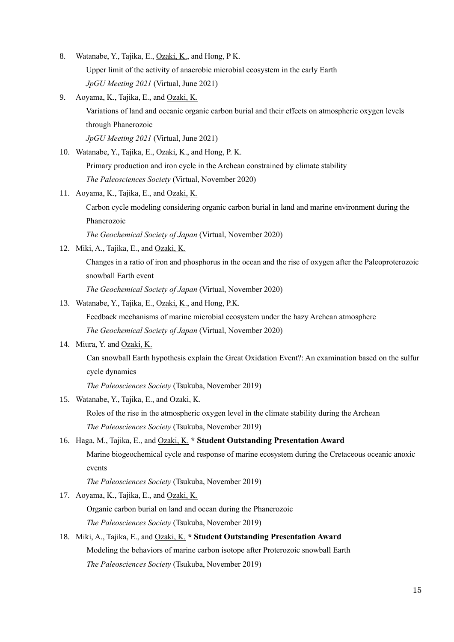8. Watanabe, Y., Tajika, E., Ozaki, K., and Hong, P K. Upper limit of the activity of anaerobic microbial ecosystem in the early Earth

*JpGU Meeting 2021* (Virtual, June 2021)

9. Aoyama, K., Tajika, E., and Ozaki, K. Variations of land and oceanic organic carbon burial and their effects on atmospheric oxygen levels through Phanerozoic

*JpGU Meeting 2021* (Virtual, June 2021)

10. Watanabe, Y., Tajika, E., Ozaki, K., and Hong, P. K.

Primary production and iron cycle in the Archean constrained by climate stability

*The Paleosciences Society* (Virtual, November 2020)

11. Aoyama, K., Tajika, E., and Ozaki, K.

Carbon cycle modeling considering organic carbon burial in land and marine environment during the Phanerozoic

*The Geochemical Society of Japan* (Virtual, November 2020)

12. Miki, A., Tajika, E., and Ozaki, K.

Changes in a ratio of iron and phosphorus in the ocean and the rise of oxygen after the Paleoproterozoic snowball Earth event

*The Geochemical Society of Japan* (Virtual, November 2020)

13. Watanabe, Y., Tajika, E., Ozaki, K., and Hong, P.K.

Feedback mechanisms of marine microbial ecosystem under the hazy Archean atmosphere *The Geochemical Society of Japan* (Virtual, November 2020)

14. Miura, Y. and Ozaki, K.

Can snowball Earth hypothesis explain the Great Oxidation Event?: An examination based on the sulfur cycle dynamics

*The Paleosciences Society* (Tsukuba, November 2019)

15. Watanabe, Y., Tajika, E., and Ozaki, K.

Roles of the rise in the atmospheric oxygen level in the climate stability during the Archean

*The Paleosciences Society* (Tsukuba, November 2019)

### 16. Haga, M., Tajika, E., and Ozaki, K. **\* Student Outstanding Presentation Award**

Marine biogeochemical cycle and response of marine ecosystem during the Cretaceous oceanic anoxic events

*The Paleosciences Society* (Tsukuba, November 2019)

17. Aoyama, K., Tajika, E., and Ozaki, K.

Organic carbon burial on land and ocean during the Phanerozoic

*The Paleosciences Society* (Tsukuba, November 2019)

# 18. Miki, A., Tajika, E., and Ozaki, K. **\* Student Outstanding Presentation Award** Modeling the behaviors of marine carbon isotope after Proterozoic snowball Earth *The Paleosciences Society* (Tsukuba, November 2019)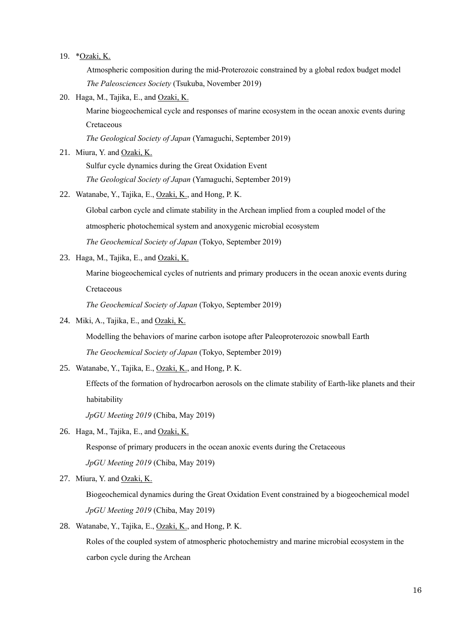19. \*Ozaki, K.

Atmospheric composition during the mid-Proterozoic constrained by a global redox budget model *The Paleosciences Society* (Tsukuba, November 2019)

20. Haga, M., Tajika, E., and Ozaki, K.

Marine biogeochemical cycle and responses of marine ecosystem in the ocean anoxic events during Cretaceous

*The Geological Society of Japan* (Yamaguchi, September 2019)

21. Miura, Y. and Ozaki, K.

Sulfur cycle dynamics during the Great Oxidation Event *The Geological Society of Japan* (Yamaguchi, September 2019)

22. Watanabe, Y., Tajika, E., Ozaki, K., and Hong, P. K.

Global carbon cycle and climate stability in the Archean implied from a coupled model of the

atmospheric photochemical system and anoxygenic microbial ecosystem

*The Geochemical Society of Japan* (Tokyo, September 2019)

23. Haga, M., Tajika, E., and Ozaki, K.

Marine biogeochemical cycles of nutrients and primary producers in the ocean anoxic events during Cretaceous

*The Geochemical Society of Japan* (Tokyo, September 2019)

24. Miki, A., Tajika, E., and Ozaki, K.

Modelling the behaviors of marine carbon isotope after Paleoproterozoic snowball Earth

*The Geochemical Society of Japan* (Tokyo, September 2019)

25. Watanabe, Y., Tajika, E., Ozaki, K., and Hong, P. K.

Effects of the formation of hydrocarbon aerosols on the climate stability of Earth-like planets and their habitability

*JpGU Meeting 2019* (Chiba, May 2019)

26. Haga, M., Tajika, E., and Ozaki, K.

Response of primary producers in the ocean anoxic events during the Cretaceous

*JpGU Meeting 2019* (Chiba, May 2019)

27. Miura, Y. and Ozaki, K.

Biogeochemical dynamics during the Great Oxidation Event constrained by a biogeochemical model *JpGU Meeting 2019* (Chiba, May 2019)

28. Watanabe, Y., Tajika, E., Ozaki, K., and Hong, P. K.

Roles of the coupled system of atmospheric photochemistry and marine microbial ecosystem in the carbon cycle during the Archean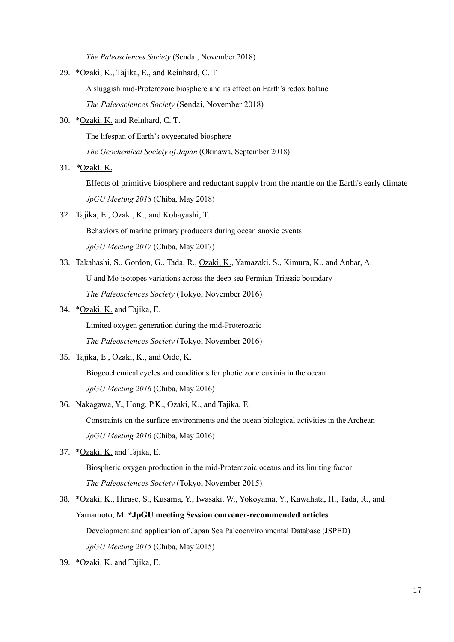*The Paleosciences Society* (Sendai, November 2018)

29. \*Ozaki, K., Tajika, E., and Reinhard, C. T.

A sluggish mid-Proterozoic biosphere and its effect on Earth's redox balanc

*The Paleosciences Society* (Sendai, November 2018)

30. \*Ozaki, K. and Reinhard, C. T.

The lifespan of Earth's oxygenated biosphere

*The Geochemical Society of Japan* (Okinawa, September 2018)

31. *\**Ozaki, K.

Effects of primitive biosphere and reductant supply from the mantle on the Earth's early climate *JpGU Meeting 2018* (Chiba, May 2018)

32. Tajika, E., Ozaki, K., and Kobayashi, T.

Behaviors of marine primary producers during ocean anoxic events

*JpGU Meeting 2017* (Chiba, May 2017)

- 33. Takahashi, S., Gordon, G., Tada, R., Ozaki, K., Yamazaki, S., Kimura, K., and Anbar, A. U and Mo isotopes variations across the deep sea Permian-Triassic boundary *The Paleosciences Society* (Tokyo, November 2016)
- 34. \*Ozaki, K. and Tajika, E.

Limited oxygen generation during the mid-Proterozoic

*The Paleosciences Society* (Tokyo, November 2016)

35. Tajika, E., Ozaki, K., and Oide, K.

Biogeochemical cycles and conditions for photic zone euxinia in the ocean

*JpGU Meeting 2016* (Chiba, May 2016)

36. Nakagawa, Y., Hong, P.K., Ozaki, K., and Tajika, E.

Constraints on the surface environments and the ocean biological activities in the Archean *JpGU Meeting 2016* (Chiba, May 2016)

- 37. \*Ozaki, K. and Tajika, E. Biospheric oxygen production in the mid-Proterozoic oceans and its limiting factor *The Paleosciences Society* (Tokyo, November 2015)
- 38. \*Ozaki, K., Hirase, S., Kusama, Y., Iwasaki, W., Yokoyama, Y., Kawahata, H., Tada, R., and Yamamoto, M. **\*JpGU meeting Session convener-recommended articles** Development and application of Japan Sea Paleoenvironmental Database (JSPED) *JpGU Meeting 2015* (Chiba, May 2015)
- 39. \*Ozaki, K. and Tajika, E.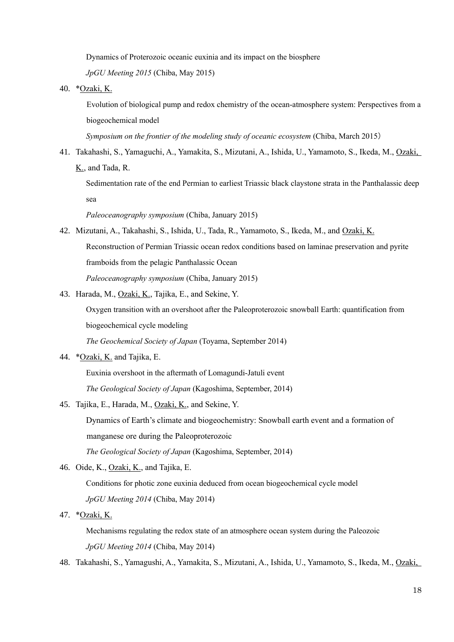Dynamics of Proterozoic oceanic euxinia and its impact on the biosphere

*JpGU Meeting 2015* (Chiba, May 2015)

40. \*Ozaki, K.

Evolution of biological pump and redox chemistry of the ocean-atmosphere system: Perspectives from a biogeochemical model

*Symposium on the frontier of the modeling study of oceanic ecosystem* (Chiba, March 2015)

41. Takahashi, S., Yamaguchi, A., Yamakita, S., Mizutani, A., Ishida, U., Yamamoto, S., Ikeda, M., Ozaki, K., and Tada, R.

Sedimentation rate of the end Permian to earliest Triassic black claystone strata in the Panthalassic deep sea

*Paleoceanography symposium* (Chiba, January 2015)

- 42. Mizutani, A., Takahashi, S., Ishida, U., Tada, R., Yamamoto, S., Ikeda, M., and Ozaki, K. Reconstruction of Permian Triassic ocean redox conditions based on laminae preservation and pyrite framboids from the pelagic Panthalassic Ocean *Paleoceanography symposium* (Chiba, January 2015)
- 43. Harada, M., Ozaki, K., Tajika, E., and Sekine, Y.

Oxygen transition with an overshoot after the Paleoproterozoic snowball Earth: quantification from biogeochemical cycle modeling

*The Geochemical Society of Japan* (Toyama, September 2014)

44. \*Ozaki, K. and Tajika, E.

Euxinia overshoot in the aftermath of Lomagundi-Jatuli event

*The Geological Society of Japan* (Kagoshima, September, 2014)

45. Tajika, E., Harada, M., Ozaki, K., and Sekine, Y.

Dynamics of Earth's climate and biogeochemistry: Snowball earth event and a formation of manganese ore during the Paleoproterozoic

*The Geological Society of Japan* (Kagoshima, September, 2014)

46. Oide, K., Ozaki, K., and Tajika, E.

Conditions for photic zone euxinia deduced from ocean biogeochemical cycle model

*JpGU Meeting 2014* (Chiba, May 2014)

47. \*Ozaki, K.

Mechanisms regulating the redox state of an atmosphere ocean system during the Paleozoic *JpGU Meeting 2014* (Chiba, May 2014)

48. Takahashi, S., Yamagushi, A., Yamakita, S., Mizutani, A., Ishida, U., Yamamoto, S., Ikeda, M., Ozaki,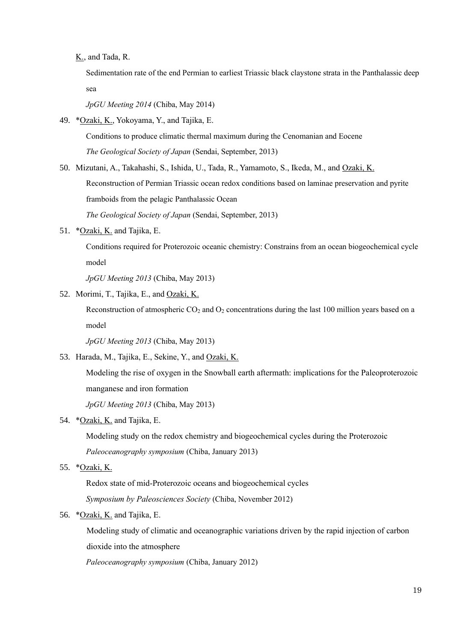K., and Tada, R.

Sedimentation rate of the end Permian to earliest Triassic black claystone strata in the Panthalassic deep sea

*JpGU Meeting 2014* (Chiba, May 2014)

49. \*Ozaki, K., Yokoyama, Y., and Tajika, E.

Conditions to produce climatic thermal maximum during the Cenomanian and Eocene *The Geological Society of Japan* (Sendai, September, 2013)

50. Mizutani, A., Takahashi, S., Ishida, U., Tada, R., Yamamoto, S., Ikeda, M., and Ozaki, K. Reconstruction of Permian Triassic ocean redox conditions based on laminae preservation and pyrite framboids from the pelagic Panthalassic Ocean

*The Geological Society of Japan* (Sendai, September, 2013)

51. \*Ozaki, K. and Tajika, E.

Conditions required for Proterozoic oceanic chemistry: Constrains from an ocean biogeochemical cycle model

*JpGU Meeting 2013* (Chiba, May 2013)

52. Morimi, T., Tajika, E., and Ozaki, K.

Reconstruction of atmospheric  $CO_2$  and  $O_2$  concentrations during the last 100 million years based on a model

*JpGU Meeting 2013* (Chiba, May 2013)

53. Harada, M., Tajika, E., Sekine, Y., and Ozaki, K.

Modeling the rise of oxygen in the Snowball earth aftermath: implications for the Paleoproterozoic manganese and iron formation

*JpGU Meeting 2013* (Chiba, May 2013)

54. \* Ozaki, K. and Tajika, E.

Modeling study on the redox chemistry and biogeochemical cycles during the Proterozoic

*Paleoceanography symposium* (Chiba, January 2013)

55. \*Ozaki, K.

Redox state of mid-Proterozoic oceans and biogeochemical cycles

*Symposium by Paleosciences Society* (Chiba, November 2012)

56. \*Ozaki, K. and Tajika, E.

Modeling study of climatic and oceanographic variations driven by the rapid injection of carbon dioxide into the atmosphere

*Paleoceanography symposium* (Chiba, January 2012)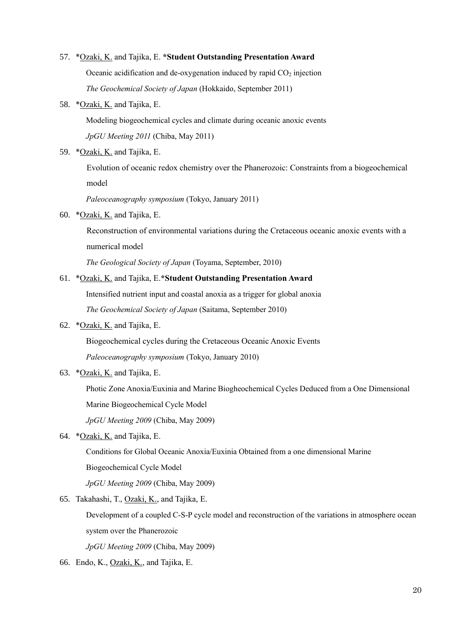#### 57. \*Ozaki, K. and Tajika, E. **\*Student Outstanding Presentation Award**

Oceanic acidification and de-oxygenation induced by rapid  $CO<sub>2</sub>$  injection *The Geochemical Society of Japan* (Hokkaido, September 2011)

58. \*Ozaki, K. and Tajika, E.

Modeling biogeochemical cycles and climate during oceanic anoxic events

*JpGU Meeting 2011* (Chiba, May 2011)

59. \*Ozaki, K. and Tajika, E.

Evolution of oceanic redox chemistry over the Phanerozoic: Constraints from a biogeochemical model

*Paleoceanography symposium* (Tokyo, January 2011)

60. \*Ozaki, K. and Tajika, E.

Reconstruction of environmental variations during the Cretaceous oceanic anoxic events with a numerical model

*The Geological Society of Japan* (Toyama, September, 2010)

#### 61. \*Ozaki, K. and Tajika, E.**\*Student Outstanding Presentation Award**

Intensified nutrient input and coastal anoxia as a trigger for global anoxia *The Geochemical Society of Japan* (Saitama, September 2010)

62. \*Ozaki, K. and Tajika, E.

Biogeochemical cycles during the Cretaceous Oceanic Anoxic Events *Paleoceanography symposium* (Tokyo, January 2010)

63. \*Ozaki, K. and Tajika, E.

Photic Zone Anoxia/Euxinia and Marine Biogheochemical Cycles Deduced from a One Dimensional Marine Biogeochemical Cycle Model

*JpGU Meeting 2009* (Chiba, May 2009)

64. \*Ozaki, K. and Tajika, E.

Conditions for Global Oceanic Anoxia/Euxinia Obtained from a one dimensional Marine

Biogeochemical Cycle Model

*JpGU Meeting 2009* (Chiba, May 2009)

65. Takahashi, T., Ozaki, K., and Tajika, E.

Development of a coupled C-S-P cycle model and reconstruction of the variations in atmosphere ocean system over the Phanerozoic

*JpGU Meeting 2009* (Chiba, May 2009)

66. Endo, K., Ozaki, K., and Tajika, E.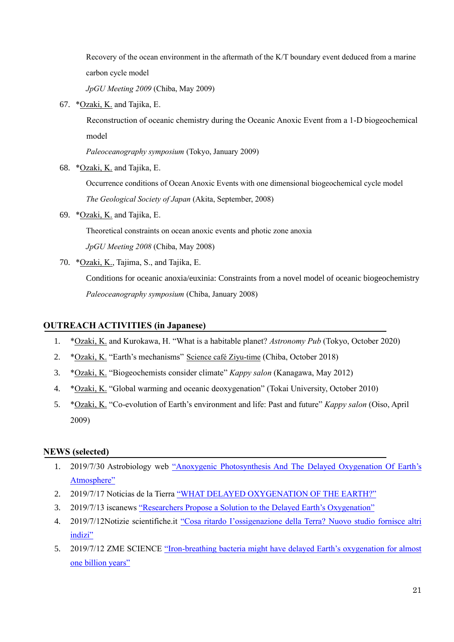Recovery of the ocean environment in the aftermath of the K/T boundary event deduced from a marine carbon cycle model

*JpGU Meeting 2009* (Chiba, May 2009)

67. \*Ozaki, K. and Tajika, E.

Reconstruction of oceanic chemistry during the Oceanic Anoxic Event from a 1-D biogeochemical model

*Paleoceanography symposium* (Tokyo, January 2009)

68. \*Ozaki, K. and Tajika, E.

Occurrence conditions of Ocean Anoxic Events with one dimensional biogeochemical cycle model *The Geological Society of Japan* (Akita, September, 2008)

69. \*Ozaki, K. and Tajika, E.

Theoretical constraints on ocean anoxic events and photic zone anoxia

*JpGU Meeting 2008* (Chiba, May 2008)

70. \* Ozaki, K., Tajima, S., and Tajika, E.

Conditions for oceanic anoxia/euxinia: Constraints from a novel model of oceanic biogeochemistry *Paleoceanography symposium* (Chiba, January 2008)

### **OUTREACH ACTIVITIES (in Japanese)**

- 1. \*Ozaki, K. and Kurokawa, H. "What is a habitable planet? *Astronomy Pub* (Tokyo, October 2020)
- 2. \*Ozaki, K. "Earth's mechanisms" Science café Ziyu-time (Chiba, October 2018)
- 3. \*Ozaki, K. "Biogeochemists consider climate" *Kappy salon* (Kanagawa, May 2012)
- 4. \*Ozaki, K. "Global warming and oceanic deoxygenation" (Tokai University, October 2010)
- 5. \*Ozaki, K. "Co-evolution of Earth's environment and life: Past and future" *Kappy salon* (Oiso, April 2009)

### **NEWS (selected)**

- 1. 2019/7/30 Astrobiology web ["Anoxygenic Photosynthesis And The Delayed Oxygenation Of Earth's](http://astrobiology.com/2019/07/anoxygenic-photosynthesis-and-the-delayed-oxygenation-of-earths-atmosphere.html)  [Atmosphere"](http://astrobiology.com/2019/07/anoxygenic-photosynthesis-and-the-delayed-oxygenation-of-earths-atmosphere.html)
- 2. 2019/7/17 Noticias de la Tierra ["WHAT DELAYED OXYGENATION OF THE EARTH?"](https://noticiasdelatierra.com/que-retraso-la-oxigenacion-de-la-tierra/)
- 3. 2019/7/13 iscanews ["Researchers Propose a Solution to the Delayed Earth's Oxygenation"](http://en.iscanews.ir/news/666721)
- 4. 2019/7/12Notizie scientifiche.it ["Cosa ritardo I'ossigenazione della Terra? Nuovo studio fornisce altri](https://notiziescientifiche.it/cosa-ritardo-lossigenazione-della-terra-nuovo-studio-fornisce-altri-indizi/)  [indizi"](https://notiziescientifiche.it/cosa-ritardo-lossigenazione-della-terra-nuovo-studio-fornisce-altri-indizi/)
- 5. 2019/7/12 ZME SCIENCE ["Iron-breathing bacteria might have delayed Earth's oxygenation for almost](https://www.zmescience.com/science/iron-photosynthesis-oxygen-earth-8245242/)  [one billion years"](https://www.zmescience.com/science/iron-photosynthesis-oxygen-earth-8245242/)